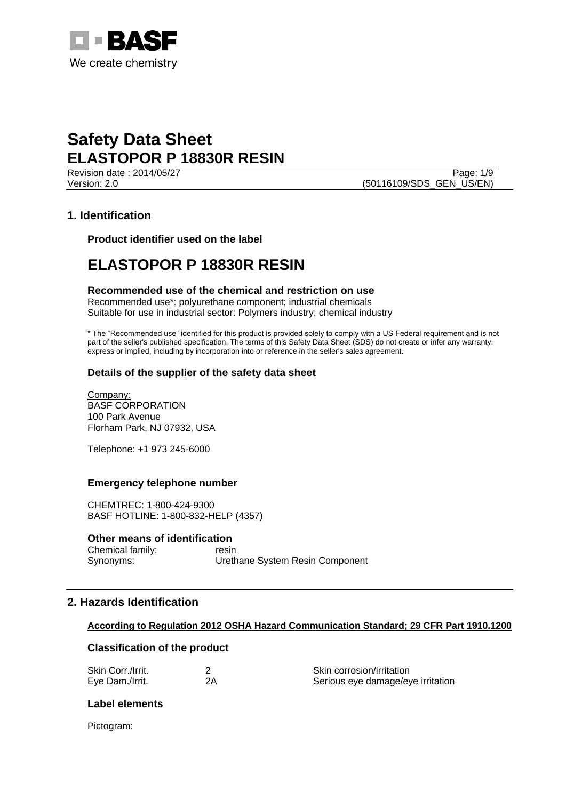

Revision date : 2014/05/27 Page: 1/9 Version: 2.0 **(50116109/SDS\_GEN\_US/EN)** 

# **1. Identification**

**Product identifier used on the label**

# **ELASTOPOR P 18830R RESIN**

## **Recommended use of the chemical and restriction on use**

Recommended use\*: polyurethane component; industrial chemicals Suitable for use in industrial sector: Polymers industry; chemical industry

\* The "Recommended use" identified for this product is provided solely to comply with a US Federal requirement and is not part of the seller's published specification. The terms of this Safety Data Sheet (SDS) do not create or infer any warranty, express or implied, including by incorporation into or reference in the seller's sales agreement.

# **Details of the supplier of the safety data sheet**

Company: BASF CORPORATION 100 Park Avenue Florham Park, NJ 07932, USA

Telephone: +1 973 245-6000

## **Emergency telephone number**

CHEMTREC: 1-800-424-9300 BASF HOTLINE: 1-800-832-HELP (4357)

## **Other means of identification**

Chemical family: resin Synonyms: Urethane System Resin Component

# **2. Hazards Identification**

## **According to Regulation 2012 OSHA Hazard Communication Standard; 29 CFR Part 1910.1200**

## **Classification of the product**

| Skin Corr./Irrit. | Skin corrosion/irritation         |
|-------------------|-----------------------------------|
| Eye Dam./Irrit.   | Serious eye damage/eye irritation |

# **Label elements**

Pictogram: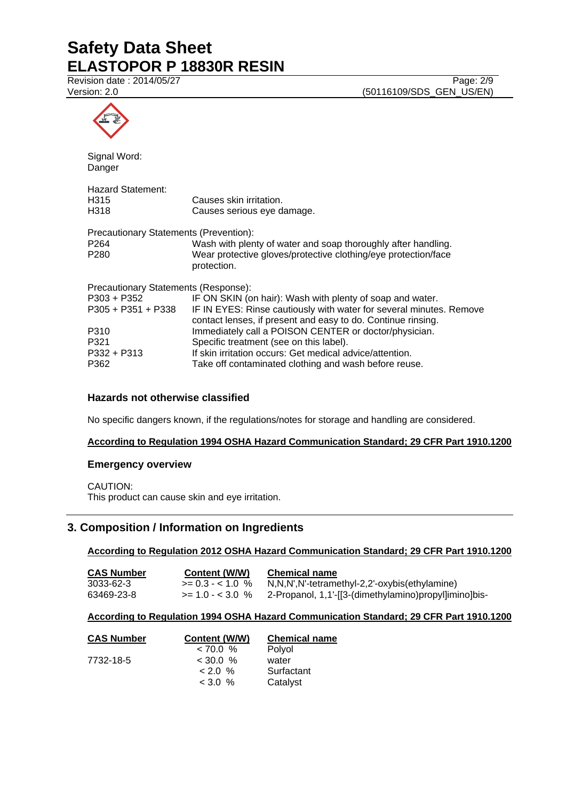Revision date : 2014/05/27 Page: 2/9

Version: 2.0 **(50116109/SDS\_GEN\_US/EN)** 



Signal Word: Danger

| Hazard Statement: |                            |
|-------------------|----------------------------|
| H315              | Causes skin irritation.    |
| H318              | Causes serious eye damage. |

| Precautionary Statements (Prevention): |                                                                |
|----------------------------------------|----------------------------------------------------------------|
| P264                                   | Wash with plenty of water and soap thoroughly after handling.  |
| P280                                   | Wear protective gloves/protective clothing/eye protection/face |
|                                        | protection.                                                    |

Precautionary Statements (Response): P303 + P352 IF ON SKIN (on hair): Wash with plenty of soap and water. P305 + P351 + P338 IF IN EYES: Rinse cautiously with water for several minutes. Remove contact lenses, if present and easy to do. Continue rinsing. P310 Immediately call a POISON CENTER or doctor/physician. P321 Specific treatment (see on this label). P332 + P313 If skin irritation occurs: Get medical advice/attention. P362 Take off contaminated clothing and wash before reuse.

# **Hazards not otherwise classified**

No specific dangers known, if the regulations/notes for storage and handling are considered.

# **According to Regulation 1994 OSHA Hazard Communication Standard; 29 CFR Part 1910.1200**

## **Emergency overview**

CAUTION:

This product can cause skin and eye irritation.

# **3. Composition / Information on Ingredients**

## **According to Regulation 2012 OSHA Hazard Communication Standard; 29 CFR Part 1910.1200**

| <b>CAS Number</b> | Content (W/W)         | <b>Chemical name</b>                                  |
|-------------------|-----------------------|-------------------------------------------------------|
| 3033-62-3         | $\ge$ = 0.3 - < 1.0 % | N,N,N',N'-tetramethyl-2,2'-oxybis(ethylamine)         |
| 63469-23-8        | $>= 1.0 - < 3.0$ %    | 2-Propanol, 1,1'-[[3-(dimethylamino)propyl]imino]bis- |

## **According to Regulation 1994 OSHA Hazard Communication Standard; 29 CFR Part 1910.1200**

| <b>CAS Number</b> | Content (W/W) | <b>Chemical name</b> |
|-------------------|---------------|----------------------|
|                   | < 70.0 %      | Polyol               |
| 7732-18-5         | $<$ 30.0 %    | water                |
|                   | $< 2.0\%$     | Surfactant           |
|                   | $< 3.0 \%$    | Catalyst             |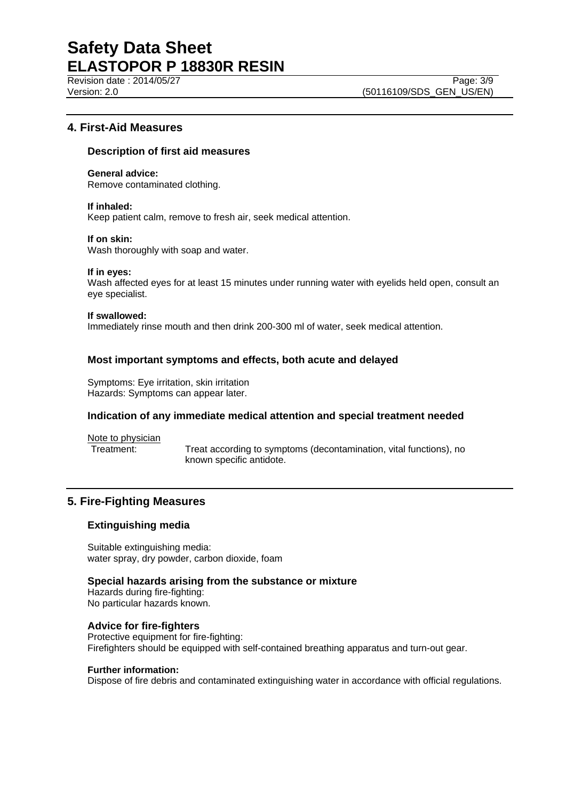Revision date : 2014/05/27 Page: 3/9

Version: 2.0 **(50116109/SDS\_GEN\_US/EN)** 

# **4. First-Aid Measures**

## **Description of first aid measures**

**General advice:** Remove contaminated clothing.

## **If inhaled:**

Keep patient calm, remove to fresh air, seek medical attention.

## **If on skin:**

Wash thoroughly with soap and water.

#### **If in eyes:**

Wash affected eyes for at least 15 minutes under running water with eyelids held open, consult an eye specialist.

#### **If swallowed:**

Immediately rinse mouth and then drink 200-300 ml of water, seek medical attention.

## **Most important symptoms and effects, both acute and delayed**

Symptoms: Eye irritation, skin irritation Hazards: Symptoms can appear later.

## **Indication of any immediate medical attention and special treatment needed**

Note to physician

Treatment: Treat according to symptoms (decontamination, vital functions), no known specific antidote.

# **5. Fire-Fighting Measures**

## **Extinguishing media**

Suitable extinguishing media: water spray, dry powder, carbon dioxide, foam

## **Special hazards arising from the substance or mixture**

Hazards during fire-fighting: No particular hazards known.

## **Advice for fire-fighters**

Protective equipment for fire-fighting: Firefighters should be equipped with self-contained breathing apparatus and turn-out gear.

## **Further information:**

Dispose of fire debris and contaminated extinguishing water in accordance with official regulations.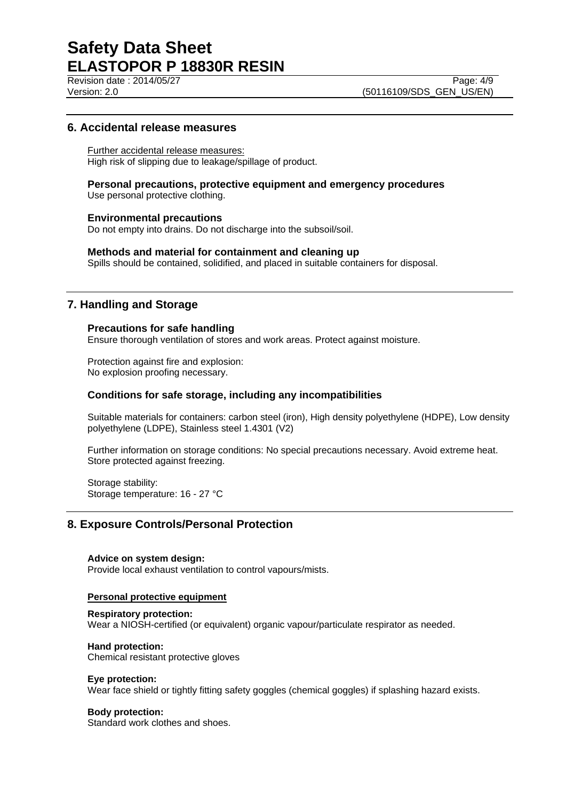Revision date : 2014/05/27 Page: 4/9

Version: 2.0 **(50116109/SDS\_GEN\_US/EN)** 

# **6. Accidental release measures**

Further accidental release measures: High risk of slipping due to leakage/spillage of product.

**Personal precautions, protective equipment and emergency procedures** Use personal protective clothing.

#### **Environmental precautions**

Do not empty into drains. Do not discharge into the subsoil/soil.

#### **Methods and material for containment and cleaning up**

Spills should be contained, solidified, and placed in suitable containers for disposal.

## **7. Handling and Storage**

## **Precautions for safe handling**

Ensure thorough ventilation of stores and work areas. Protect against moisture.

Protection against fire and explosion: No explosion proofing necessary.

# **Conditions for safe storage, including any incompatibilities**

Suitable materials for containers: carbon steel (iron), High density polyethylene (HDPE), Low density polyethylene (LDPE), Stainless steel 1.4301 (V2)

Further information on storage conditions: No special precautions necessary. Avoid extreme heat. Store protected against freezing.

Storage stability: Storage temperature: 16 - 27 °C

## **8. Exposure Controls/Personal Protection**

**Advice on system design:** Provide local exhaust ventilation to control vapours/mists.

#### **Personal protective equipment**

#### **Respiratory protection:**

Wear a NIOSH-certified (or equivalent) organic vapour/particulate respirator as needed.

#### **Hand protection:**

Chemical resistant protective gloves

#### **Eye protection:**

Wear face shield or tightly fitting safety goggles (chemical goggles) if splashing hazard exists.

#### **Body protection:**

Standard work clothes and shoes.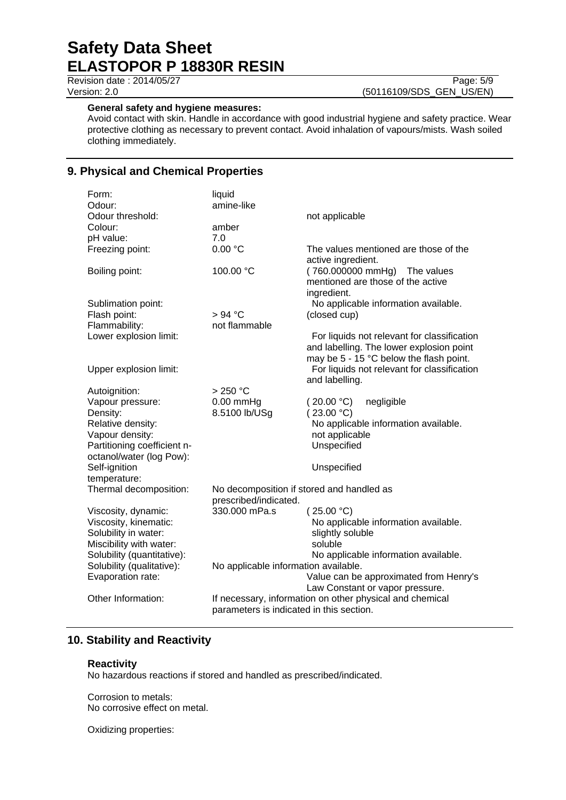Revision date : 2014/05/27 Page: 5/9 Version: 2.0 (50116109/SDS\_GEN\_US/EN)

## **General safety and hygiene measures:**

Avoid contact with skin. Handle in accordance with good industrial hygiene and safety practice. Wear protective clothing as necessary to prevent contact. Avoid inhalation of vapours/mists. Wash soiled clothing immediately.

# **9. Physical and Chemical Properties**

| Form:                       | liquid                                    |                                                                                                                                    |
|-----------------------------|-------------------------------------------|------------------------------------------------------------------------------------------------------------------------------------|
| Odour:                      | amine-like                                |                                                                                                                                    |
| Odour threshold:            |                                           | not applicable                                                                                                                     |
| Colour:                     | amber                                     |                                                                                                                                    |
| pH value:                   | 7.0                                       |                                                                                                                                    |
| Freezing point:             | 0.00 °C                                   | The values mentioned are those of the<br>active ingredient.                                                                        |
| Boiling point:              | 100.00 °C                                 | (760.000000 mmHg) The values<br>mentioned are those of the active<br>ingredient.                                                   |
| Sublimation point:          |                                           | No applicable information available.                                                                                               |
| Flash point:                | > 94 °C                                   | (closed cup)                                                                                                                       |
| Flammability:               | not flammable                             |                                                                                                                                    |
| Lower explosion limit:      |                                           | For liquids not relevant for classification<br>and labelling. The lower explosion point<br>may be 5 - 15 °C below the flash point. |
| Upper explosion limit:      |                                           | For liquids not relevant for classification<br>and labelling.                                                                      |
| Autoignition:               | $>250$ °C                                 |                                                                                                                                    |
| Vapour pressure:            | $0.00$ mmHg                               | (20.00 °C)<br>negligible                                                                                                           |
| Density:                    | 8.5100 lb/USg                             | (23.00 °C)                                                                                                                         |
| Relative density:           |                                           | No applicable information available.                                                                                               |
| Vapour density:             |                                           | not applicable                                                                                                                     |
| Partitioning coefficient n- |                                           | Unspecified                                                                                                                        |
| octanol/water (log Pow):    |                                           |                                                                                                                                    |
| Self-ignition               |                                           | Unspecified                                                                                                                        |
| temperature:                |                                           |                                                                                                                                    |
| Thermal decomposition:      | No decomposition if stored and handled as |                                                                                                                                    |
|                             | prescribed/indicated.                     |                                                                                                                                    |
| Viscosity, dynamic:         | 330.000 mPa.s                             | (25.00 °C)                                                                                                                         |
| Viscosity, kinematic:       |                                           | No applicable information available.                                                                                               |
| Solubility in water:        |                                           | slightly soluble                                                                                                                   |
| Miscibility with water:     |                                           | soluble                                                                                                                            |
| Solubility (quantitative):  |                                           | No applicable information available.                                                                                               |
| Solubility (qualitative):   | No applicable information available.      |                                                                                                                                    |
| Evaporation rate:           |                                           | Value can be approximated from Henry's                                                                                             |
| Other Information:          |                                           | Law Constant or vapor pressure.                                                                                                    |
|                             | parameters is indicated in this section.  | If necessary, information on other physical and chemical                                                                           |

# **10. Stability and Reactivity**

## **Reactivity**

No hazardous reactions if stored and handled as prescribed/indicated.

Corrosion to metals: No corrosive effect on metal.

Oxidizing properties: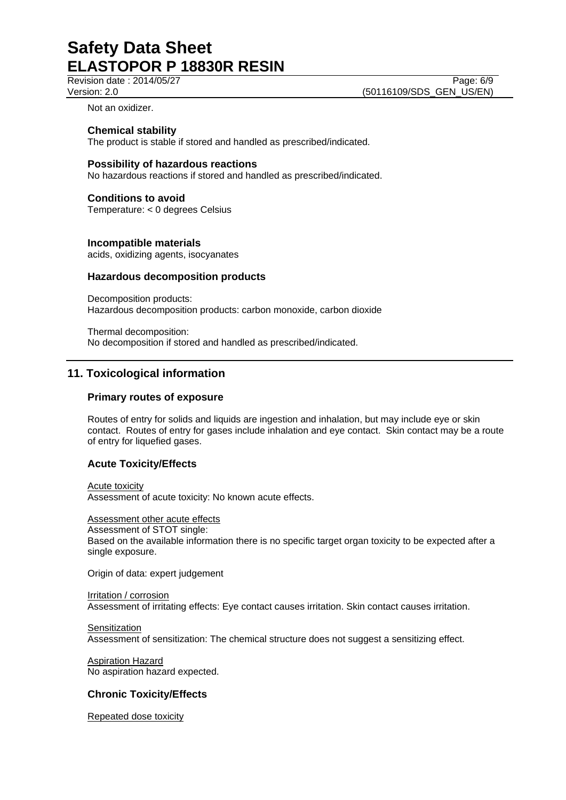Revision date : 2014/05/27 Page: 6/9

Version: 2.0 **(50116109/SDS\_GEN\_US/EN)** 

Not an oxidizer.

## **Chemical stability**

The product is stable if stored and handled as prescribed/indicated.

## **Possibility of hazardous reactions**

No hazardous reactions if stored and handled as prescribed/indicated.

# **Conditions to avoid**

Temperature: < 0 degrees Celsius

## **Incompatible materials**

acids, oxidizing agents, isocyanates

## **Hazardous decomposition products**

Decomposition products: Hazardous decomposition products: carbon monoxide, carbon dioxide

Thermal decomposition: No decomposition if stored and handled as prescribed/indicated.

# **11. Toxicological information**

## **Primary routes of exposure**

Routes of entry for solids and liquids are ingestion and inhalation, but may include eye or skin contact. Routes of entry for gases include inhalation and eye contact. Skin contact may be a route of entry for liquefied gases.

# **Acute Toxicity/Effects**

Acute toxicity Assessment of acute toxicity: No known acute effects.

Assessment other acute effects Assessment of STOT single: Based on the available information there is no specific target organ toxicity to be expected after a single exposure.

Origin of data: expert judgement

Irritation / corrosion Assessment of irritating effects: Eye contact causes irritation. Skin contact causes irritation.

**Sensitization** Assessment of sensitization: The chemical structure does not suggest a sensitizing effect.

Aspiration Hazard No aspiration hazard expected.

# **Chronic Toxicity/Effects**

Repeated dose toxicity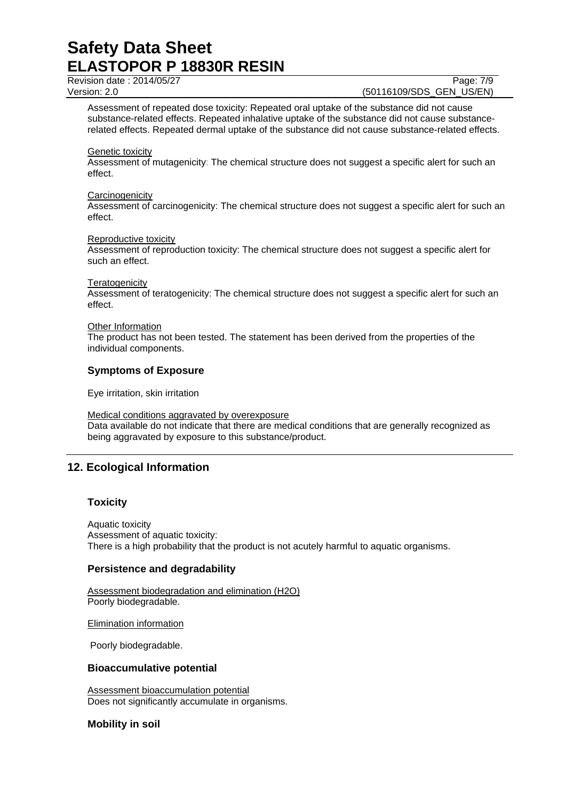Revision date : 2014/05/27 Page: 7/9

Version: 2.0 **(50116109/SDS\_GEN\_US/EN)** 

Assessment of repeated dose toxicity: Repeated oral uptake of the substance did not cause substance-related effects. Repeated inhalative uptake of the substance did not cause substancerelated effects. Repeated dermal uptake of the substance did not cause substance-related effects.

#### Genetic toxicity

Assessment of mutagenicity: The chemical structure does not suggest a specific alert for such an effect.

#### **Carcinogenicity**

Assessment of carcinogenicity: The chemical structure does not suggest a specific alert for such an effect.

#### Reproductive toxicity

Assessment of reproduction toxicity: The chemical structure does not suggest a specific alert for such an effect.

#### **Teratogenicity**

Assessment of teratogenicity: The chemical structure does not suggest a specific alert for such an effect.

#### **Other Information**

The product has not been tested. The statement has been derived from the properties of the individual components.

## **Symptoms of Exposure**

Eye irritation, skin irritation

Medical conditions aggravated by overexposure Data available do not indicate that there are medical conditions that are generally recognized as being aggravated by exposure to this substance/product.

# **12. Ecological Information**

# **Toxicity**

Aquatic toxicity Assessment of aquatic toxicity: There is a high probability that the product is not acutely harmful to aquatic organisms.

## **Persistence and degradability**

Assessment biodegradation and elimination (H2O) Poorly biodegradable.

Elimination information

Poorly biodegradable.

## **Bioaccumulative potential**

Assessment bioaccumulation potential Does not significantly accumulate in organisms.

# **Mobility in soil**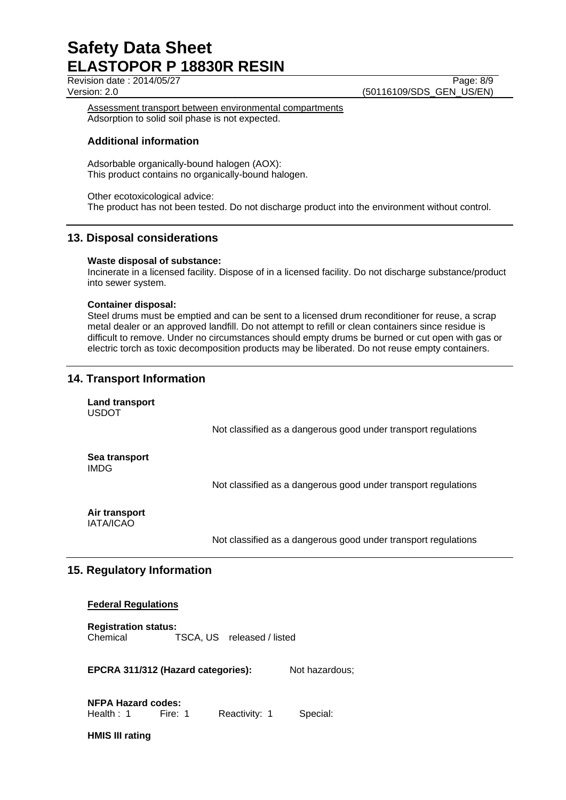Revision date : 2014/05/27 Page: 8/9

Version: 2.0 **(50116109/SDS\_GEN\_US/EN)** 

Assessment transport between environmental compartments Adsorption to solid soil phase is not expected.

## **Additional information**

Adsorbable organically-bound halogen (AOX): This product contains no organically-bound halogen.

Other ecotoxicological advice: The product has not been tested. Do not discharge product into the environment without control.

# **13. Disposal considerations**

## **Waste disposal of substance:**

Incinerate in a licensed facility. Dispose of in a licensed facility. Do not discharge substance/product into sewer system.

## **Container disposal:**

Steel drums must be emptied and can be sent to a licensed drum reconditioner for reuse, a scrap metal dealer or an approved landfill. Do not attempt to refill or clean containers since residue is difficult to remove. Under no circumstances should empty drums be burned or cut open with gas or electric torch as toxic decomposition products may be liberated. Do not reuse empty containers.

# **14. Transport Information**

**Land transport** USDOT

Not classified as a dangerous good under transport regulations

**Sea transport** IMDG

Not classified as a dangerous good under transport regulations

**Air transport** IATA/ICAO

Not classified as a dangerous good under transport regulations

# **15. Regulatory Information**

## **Federal Regulations**

**Registration status:** Chemical TSCA, US released / listed

**EPCRA 311/312 (Hazard categories):** Not hazardous;

**NFPA Hazard codes:** Health : 1 Fire: 1 Reactivity: 1 Special:

**HMIS III rating**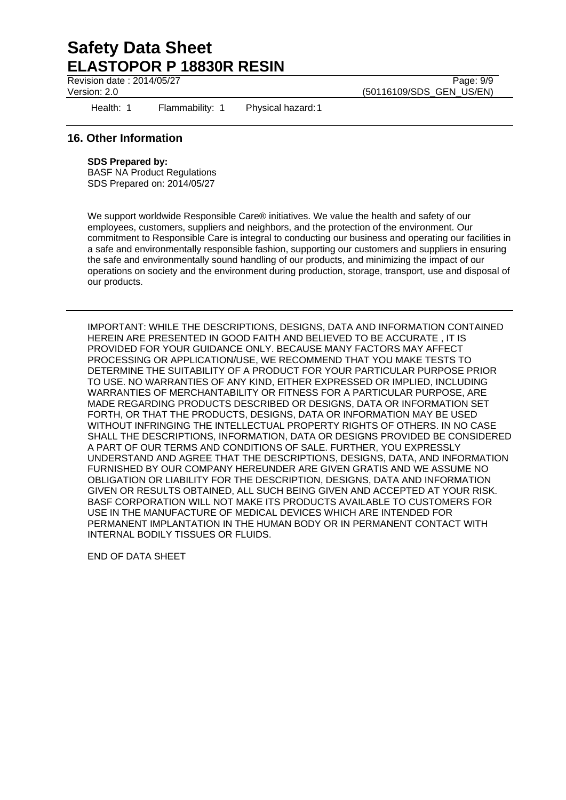Revision date : 2014/05/27 Page: 9/9

Version: 2.0 **(50116109/SDS\_GEN\_US/EN)** 

Health: 1 Flammability: 1 Physical hazard: 1

# **16. Other Information**

## **SDS Prepared by:**

BASF NA Product Regulations SDS Prepared on: 2014/05/27

We support worldwide Responsible Care® initiatives. We value the health and safety of our employees, customers, suppliers and neighbors, and the protection of the environment. Our commitment to Responsible Care is integral to conducting our business and operating our facilities in a safe and environmentally responsible fashion, supporting our customers and suppliers in ensuring the safe and environmentally sound handling of our products, and minimizing the impact of our operations on society and the environment during production, storage, transport, use and disposal of our products.

IMPORTANT: WHILE THE DESCRIPTIONS, DESIGNS, DATA AND INFORMATION CONTAINED HEREIN ARE PRESENTED IN GOOD FAITH AND BELIEVED TO BE ACCURATE , IT IS PROVIDED FOR YOUR GUIDANCE ONLY. BECAUSE MANY FACTORS MAY AFFECT PROCESSING OR APPLICATION/USE, WE RECOMMEND THAT YOU MAKE TESTS TO DETERMINE THE SUITABILITY OF A PRODUCT FOR YOUR PARTICULAR PURPOSE PRIOR TO USE. NO WARRANTIES OF ANY KIND, EITHER EXPRESSED OR IMPLIED, INCLUDING WARRANTIES OF MERCHANTABILITY OR FITNESS FOR A PARTICULAR PURPOSE, ARE MADE REGARDING PRODUCTS DESCRIBED OR DESIGNS, DATA OR INFORMATION SET FORTH, OR THAT THE PRODUCTS, DESIGNS, DATA OR INFORMATION MAY BE USED WITHOUT INFRINGING THE INTELLECTUAL PROPERTY RIGHTS OF OTHERS. IN NO CASE SHALL THE DESCRIPTIONS, INFORMATION, DATA OR DESIGNS PROVIDED BE CONSIDERED A PART OF OUR TERMS AND CONDITIONS OF SALE. FURTHER, YOU EXPRESSLY UNDERSTAND AND AGREE THAT THE DESCRIPTIONS, DESIGNS, DATA, AND INFORMATION FURNISHED BY OUR COMPANY HEREUNDER ARE GIVEN GRATIS AND WE ASSUME NO OBLIGATION OR LIABILITY FOR THE DESCRIPTION, DESIGNS, DATA AND INFORMATION GIVEN OR RESULTS OBTAINED, ALL SUCH BEING GIVEN AND ACCEPTED AT YOUR RISK. BASF CORPORATION WILL NOT MAKE ITS PRODUCTS AVAILABLE TO CUSTOMERS FOR USE IN THE MANUFACTURE OF MEDICAL DEVICES WHICH ARE INTENDED FOR PERMANENT IMPLANTATION IN THE HUMAN BODY OR IN PERMANENT CONTACT WITH INTERNAL BODILY TISSUES OR FLUIDS.

END OF DATA SHEET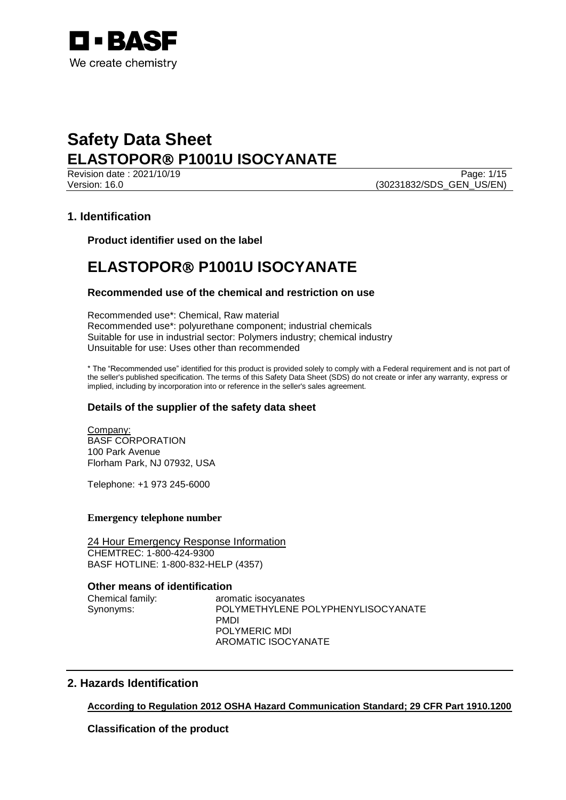

Revision date : 2021/10/19<br>
Version: 16.0<br>
Page: 1/15<br>
(30231832/SDS GEN US/EN) (30231832/SDS\_GEN\_US/EN)

# **1. Identification**

**Product identifier used on the label**

# **ELASTOPOR P1001U ISOCYANATE**

# **Recommended use of the chemical and restriction on use**

Recommended use\*: Chemical, Raw material Recommended use\*: polyurethane component; industrial chemicals Suitable for use in industrial sector: Polymers industry; chemical industry Unsuitable for use: Uses other than recommended

\* The "Recommended use" identified for this product is provided solely to comply with a Federal requirement and is not part of the seller's published specification. The terms of this Safety Data Sheet (SDS) do not create or infer any warranty, express or implied, including by incorporation into or reference in the seller's sales agreement.

# **Details of the supplier of the safety data sheet**

Company: BASF CORPORATION 100 Park Avenue Florham Park, NJ 07932, USA

Telephone: +1 973 245-6000

# **Emergency telephone number**

24 Hour Emergency Response Information CHEMTREC: 1-800-424-9300 BASF HOTLINE: 1-800-832-HELP (4357)

## **Other means of identification**

Chemical family: aromatic isocyanates Synonyms: POLYMETHYLENE POLYPHENYLISOCYANATE PMDI POLYMERIC MDI AROMATIC ISOCYANATE

# **2. Hazards Identification**

# **According to Regulation 2012 OSHA Hazard Communication Standard; 29 CFR Part 1910.1200**

**Classification of the product**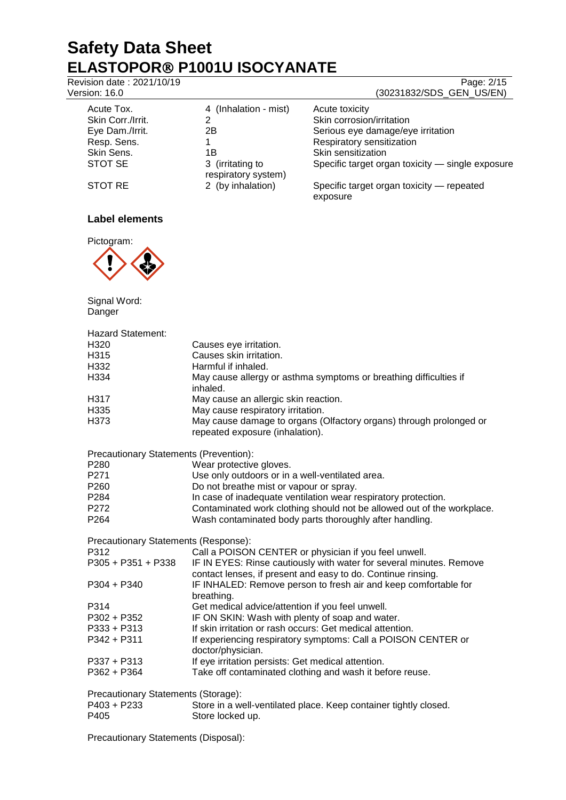Revision date : 2021/10/19 Page: 2/15

# Version: 16.0 (30231832/SDS GEN US/EN)

|                   |                                         | -------                                               |
|-------------------|-----------------------------------------|-------------------------------------------------------|
| Acute Tox.        | 4 (Inhalation - mist)                   | Acute toxicity                                        |
| Skin Corr./Irrit. | 2                                       | Skin corrosion/irritation                             |
| Eye Dam./Irrit.   | 2Β                                      | Serious eye damage/eye irritation                     |
| Resp. Sens.       |                                         | Respiratory sensitization                             |
| Skin Sens.        | 1Β                                      | Skin sensitization                                    |
| STOT SE           | 3 (irritating to<br>respiratory system) | Specific target organ toxicity - single exposure      |
| STOT RE           | 2 (by inhalation)                       | Specific target organ toxicity - repeated<br>exposure |

# **Label elements**



Signal Word:

Danger Hazard Statement: H320 Causes eye irritation. H315 Causes skin irritation. Harmful if inhaled.<br>
H334 **H334** May cause allergy May cause allergy or asthma symptoms or breathing difficulties if inhaled. H317 May cause an allergic skin reaction.<br>H335 May cause respiratory irritation. May cause respiratory irritation. H373 May cause damage to organs (Olfactory organs) through prolonged or repeated exposure (inhalation). Precautionary Statements (Prevention): P280 Wear protective gloves.<br>
P271 Use only outdoors or in P271 Use only outdoors or in a well-ventilated area.<br>P260 Do not breathe mist or vapour or sprav. Do not breathe mist or vapour or spray. P284 In case of inadequate ventilation wear respiratory protection. P272 Contaminated work clothing should not be allowed out of the workplace. P264 Wash contaminated body parts thoroughly after handling. Precautionary Statements (Response): P312 Call a POISON CENTER or physician if you feel unwell. P305 + P351 + P338 IF IN EYES: Rinse cautiously with water for several minutes. Remove contact lenses, if present and easy to do. Continue rinsing. P304 + P340 IF INHALED: Remove person to fresh air and keep comfortable for breathing. P314 Get medical advice/attention if you feel unwell.<br>P302 + P352 IF ON SKIN: Wash with plenty of soap and wat IF ON SKIN: Wash with plenty of soap and water. P333 + P313 If skin irritation or rash occurs: Get medical attention. P342 + P311 If experiencing respiratory symptoms: Call a POISON CENTER or doctor/physician.

P337 + P313 If eve irritation persists: Get medical attention. P362 + P364 Take off contaminated clothing and wash it before reuse.

Precautionary Statements (Storage):

| P403 + P233 | Store in a well-ventilated place. Keep container tightly closed. |
|-------------|------------------------------------------------------------------|
| P405        | Store locked up.                                                 |

Precautionary Statements (Disposal):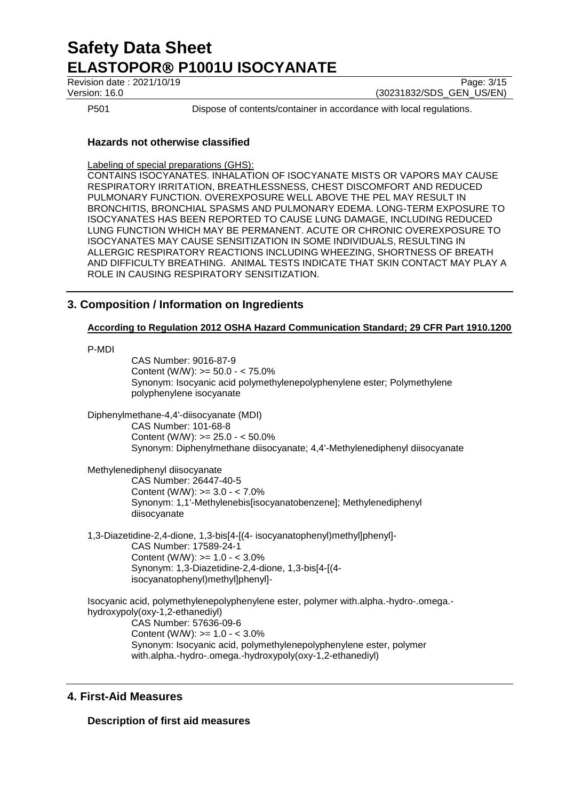Revision date : 2021/10/19 Page: 3/15

Version: 16.0 (30231832/SDS\_GEN\_US/EN)

P501 Dispose of contents/container in accordance with local regulations.

# **Hazards not otherwise classified**

Labeling of special preparations (GHS):

CONTAINS ISOCYANATES. INHALATION OF ISOCYANATE MISTS OR VAPORS MAY CAUSE RESPIRATORY IRRITATION, BREATHLESSNESS, CHEST DISCOMFORT AND REDUCED PULMONARY FUNCTION. OVEREXPOSURE WELL ABOVE THE PEL MAY RESULT IN BRONCHITIS, BRONCHIAL SPASMS AND PULMONARY EDEMA. LONG-TERM EXPOSURE TO ISOCYANATES HAS BEEN REPORTED TO CAUSE LUNG DAMAGE, INCLUDING REDUCED LUNG FUNCTION WHICH MAY BE PERMANENT. ACUTE OR CHRONIC OVEREXPOSURE TO ISOCYANATES MAY CAUSE SENSITIZATION IN SOME INDIVIDUALS, RESULTING IN ALLERGIC RESPIRATORY REACTIONS INCLUDING WHEEZING, SHORTNESS OF BREATH AND DIFFICULTY BREATHING. ANIMAL TESTS INDICATE THAT SKIN CONTACT MAY PLAY A ROLE IN CAUSING RESPIRATORY SENSITIZATION.

# **3. Composition / Information on Ingredients**

## **According to Regulation 2012 OSHA Hazard Communication Standard; 29 CFR Part 1910.1200**

P-MDI

CAS Number: 9016-87-9 Content (W/W): >= 50.0 - < 75.0% Synonym: Isocyanic acid polymethylenepolyphenylene ester; Polymethylene polyphenylene isocyanate

Diphenylmethane-4,4'-diisocyanate (MDI) CAS Number: 101-68-8 Content (W/W): >= 25.0 - < 50.0% Synonym: Diphenylmethane diisocyanate; 4,4'-Methylenediphenyl diisocyanate

Methylenediphenyl diisocyanate CAS Number: 26447-40-5 Content (W/W): >= 3.0 - < 7.0% Synonym: 1,1'-Methylenebis[isocyanatobenzene]; Methylenediphenyl diisocyanate

1,3-Diazetidine-2,4-dione, 1,3-bis[4-[(4- isocyanatophenyl)methyl]phenyl]- CAS Number: 17589-24-1 Content (W/W):  $>= 1.0 - 3.0\%$ Synonym: 1,3-Diazetidine-2,4-dione, 1,3-bis[4-[(4 isocyanatophenyl)methyl]phenyl]-

Isocyanic acid, polymethylenepolyphenylene ester, polymer with.alpha.-hydro-.omega. hydroxypoly(oxy-1,2-ethanediyl) CAS Number: 57636-09-6 Content (W/W): >= 1.0 - < 3.0% Synonym: Isocyanic acid, polymethylenepolyphenylene ester, polymer with.alpha.-hydro-.omega.-hydroxypoly(oxy-1,2-ethanediyl)

# **4. First-Aid Measures**

**Description of first aid measures**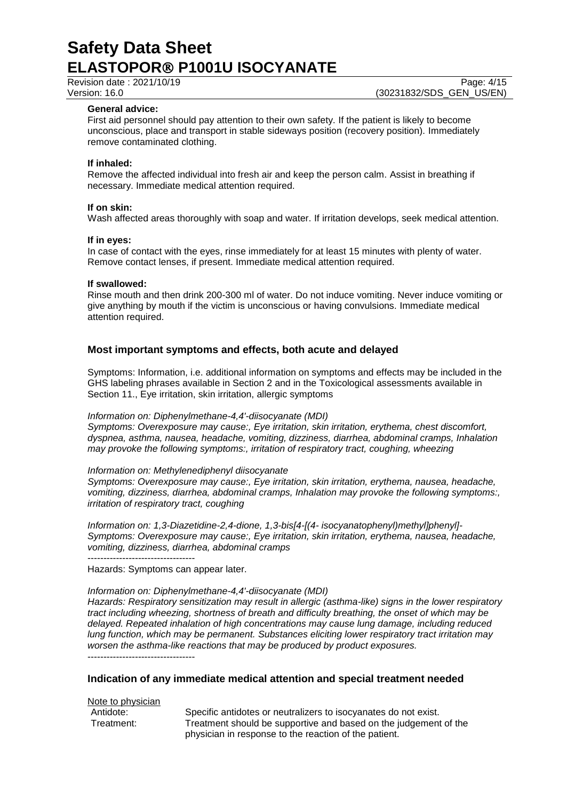Revision date : 2021/10/19 Page: 4/15 Version: 16.0 (30231832/SDS\_GEN\_US/EN)

## **General advice:**

First aid personnel should pay attention to their own safety. If the patient is likely to become unconscious, place and transport in stable sideways position (recovery position). Immediately remove contaminated clothing.

#### **If inhaled:**

Remove the affected individual into fresh air and keep the person calm. Assist in breathing if necessary. Immediate medical attention required.

#### **If on skin:**

Wash affected areas thoroughly with soap and water. If irritation develops, seek medical attention.

#### **If in eyes:**

In case of contact with the eyes, rinse immediately for at least 15 minutes with plenty of water. Remove contact lenses, if present. Immediate medical attention required.

#### **If swallowed:**

Rinse mouth and then drink 200-300 ml of water. Do not induce vomiting. Never induce vomiting or give anything by mouth if the victim is unconscious or having convulsions. Immediate medical attention required.

## **Most important symptoms and effects, both acute and delayed**

Symptoms: Information, i.e. additional information on symptoms and effects may be included in the GHS labeling phrases available in Section 2 and in the Toxicological assessments available in Section 11., Eye irritation, skin irritation, allergic symptoms

#### *Information on: Diphenylmethane-4,4'-diisocyanate (MDI)*

*Symptoms: Overexposure may cause:, Eye irritation, skin irritation, erythema, chest discomfort, dyspnea, asthma, nausea, headache, vomiting, dizziness, diarrhea, abdominal cramps, Inhalation may provoke the following symptoms:, irritation of respiratory tract, coughing, wheezing*

#### *Information on: Methylenediphenyl diisocyanate*

*Symptoms: Overexposure may cause:, Eye irritation, skin irritation, erythema, nausea, headache, vomiting, dizziness, diarrhea, abdominal cramps, Inhalation may provoke the following symptoms:, irritation of respiratory tract, coughing*

*Information on: 1,3-Diazetidine-2,4-dione, 1,3-bis[4-[(4- isocyanatophenyl)methyl]phenyl]- Symptoms: Overexposure may cause:, Eye irritation, skin irritation, erythema, nausea, headache, vomiting, dizziness, diarrhea, abdominal cramps*

----------------------------------

Hazards: Symptoms can appear later.

## *Information on: Diphenylmethane-4,4'-diisocyanate (MDI)*

*Hazards: Respiratory sensitization may result in allergic (asthma-like) signs in the lower respiratory tract including wheezing, shortness of breath and difficulty breathing, the onset of which may be delayed. Repeated inhalation of high concentrations may cause lung damage, including reduced lung function, which may be permanent. Substances eliciting lower respiratory tract irritation may worsen the asthma-like reactions that may be produced by product exposures.* ----------------------------------

## **Indication of any immediate medical attention and special treatment needed**

Note to physician

Antidote: Specific antidotes or neutralizers to isocyanates do not exist. Treatment: Treatment should be supportive and based on the judgement of the physician in response to the reaction of the patient.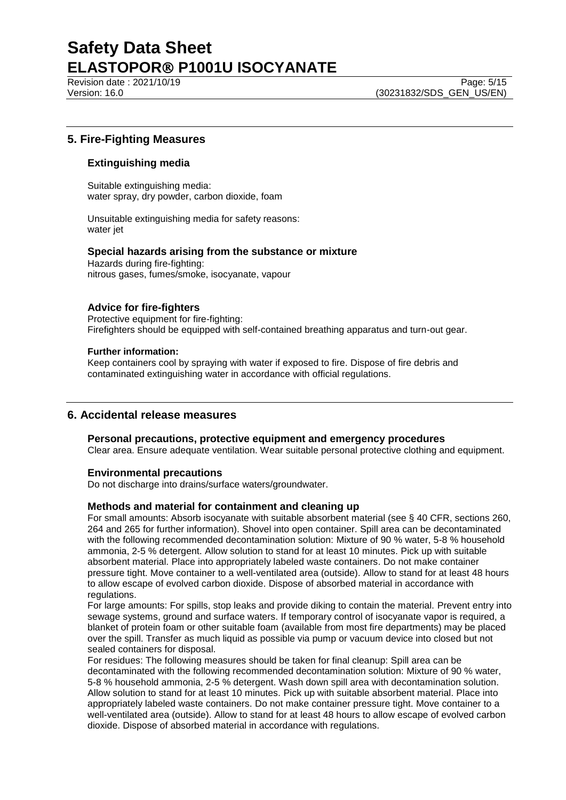Revision date : 2021/10/19 Page: 5/15

# **5. Fire-Fighting Measures**

# **Extinguishing media**

Suitable extinguishing media: water spray, dry powder, carbon dioxide, foam

Unsuitable extinguishing media for safety reasons: water jet

# **Special hazards arising from the substance or mixture**

Hazards during fire-fighting: nitrous gases, fumes/smoke, isocyanate, vapour

# **Advice for fire-fighters**

Protective equipment for fire-fighting: Firefighters should be equipped with self-contained breathing apparatus and turn-out gear.

#### **Further information:**

Keep containers cool by spraying with water if exposed to fire. Dispose of fire debris and contaminated extinguishing water in accordance with official regulations.

# **6. Accidental release measures**

## **Personal precautions, protective equipment and emergency procedures**

Clear area. Ensure adequate ventilation. Wear suitable personal protective clothing and equipment.

## **Environmental precautions**

Do not discharge into drains/surface waters/groundwater.

## **Methods and material for containment and cleaning up**

For small amounts: Absorb isocyanate with suitable absorbent material (see § 40 CFR, sections 260, 264 and 265 for further information). Shovel into open container. Spill area can be decontaminated with the following recommended decontamination solution: Mixture of 90 % water, 5-8 % household ammonia, 2-5 % detergent. Allow solution to stand for at least 10 minutes. Pick up with suitable absorbent material. Place into appropriately labeled waste containers. Do not make container pressure tight. Move container to a well-ventilated area (outside). Allow to stand for at least 48 hours to allow escape of evolved carbon dioxide. Dispose of absorbed material in accordance with regulations.

For large amounts: For spills, stop leaks and provide diking to contain the material. Prevent entry into sewage systems, ground and surface waters. If temporary control of isocyanate vapor is required, a blanket of protein foam or other suitable foam (available from most fire departments) may be placed over the spill. Transfer as much liquid as possible via pump or vacuum device into closed but not sealed containers for disposal.

For residues: The following measures should be taken for final cleanup: Spill area can be decontaminated with the following recommended decontamination solution: Mixture of 90 % water, 5-8 % household ammonia, 2-5 % detergent. Wash down spill area with decontamination solution. Allow solution to stand for at least 10 minutes. Pick up with suitable absorbent material. Place into appropriately labeled waste containers. Do not make container pressure tight. Move container to a well-ventilated area (outside). Allow to stand for at least 48 hours to allow escape of evolved carbon dioxide. Dispose of absorbed material in accordance with regulations.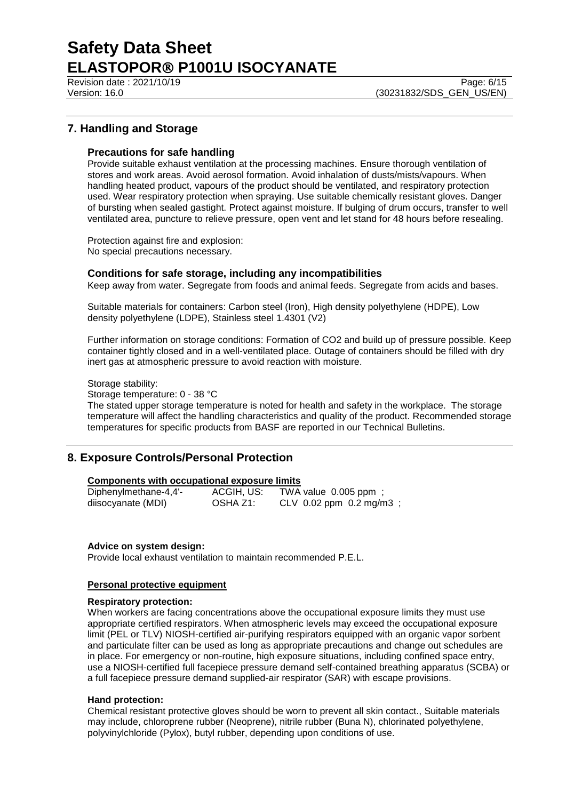Revision date : 2021/10/19 Page: 6/15

# **7. Handling and Storage**

## **Precautions for safe handling**

Provide suitable exhaust ventilation at the processing machines. Ensure thorough ventilation of stores and work areas. Avoid aerosol formation. Avoid inhalation of dusts/mists/vapours. When handling heated product, vapours of the product should be ventilated, and respiratory protection used. Wear respiratory protection when spraying. Use suitable chemically resistant gloves. Danger of bursting when sealed gastight. Protect against moisture. If bulging of drum occurs, transfer to well ventilated area, puncture to relieve pressure, open vent and let stand for 48 hours before resealing.

Protection against fire and explosion: No special precautions necessary.

#### **Conditions for safe storage, including any incompatibilities**

Keep away from water. Segregate from foods and animal feeds. Segregate from acids and bases.

Suitable materials for containers: Carbon steel (Iron), High density polyethylene (HDPE), Low density polyethylene (LDPE), Stainless steel 1.4301 (V2)

Further information on storage conditions: Formation of CO2 and build up of pressure possible. Keep container tightly closed and in a well-ventilated place. Outage of containers should be filled with dry inert gas at atmospheric pressure to avoid reaction with moisture.

Storage stability:

Storage temperature: 0 - 38 °C

The stated upper storage temperature is noted for health and safety in the workplace. The storage temperature will affect the handling characteristics and quality of the product. Recommended storage temperatures for specific products from BASF are reported in our Technical Bulletins.

# **8. Exposure Controls/Personal Protection**

#### **Components with occupational exposure limits**

| Diphenylmethane-4,4'- | ACGIH, US: | TWA value 0.005 ppm;        |
|-----------------------|------------|-----------------------------|
| diisocyanate (MDI)    | OSHA Z1:   | CLV $0.02$ ppm $0.2$ mg/m3; |

#### **Advice on system design:**

Provide local exhaust ventilation to maintain recommended P.E.L.

### **Personal protective equipment**

#### **Respiratory protection:**

When workers are facing concentrations above the occupational exposure limits they must use appropriate certified respirators. When atmospheric levels may exceed the occupational exposure limit (PEL or TLV) NIOSH-certified air-purifying respirators equipped with an organic vapor sorbent and particulate filter can be used as long as appropriate precautions and change out schedules are in place. For emergency or non-routine, high exposure situations, including confined space entry, use a NIOSH-certified full facepiece pressure demand self-contained breathing apparatus (SCBA) or a full facepiece pressure demand supplied-air respirator (SAR) with escape provisions.

#### **Hand protection:**

Chemical resistant protective gloves should be worn to prevent all skin contact., Suitable materials may include, chloroprene rubber (Neoprene), nitrile rubber (Buna N), chlorinated polyethylene, polyvinylchloride (Pylox), butyl rubber, depending upon conditions of use.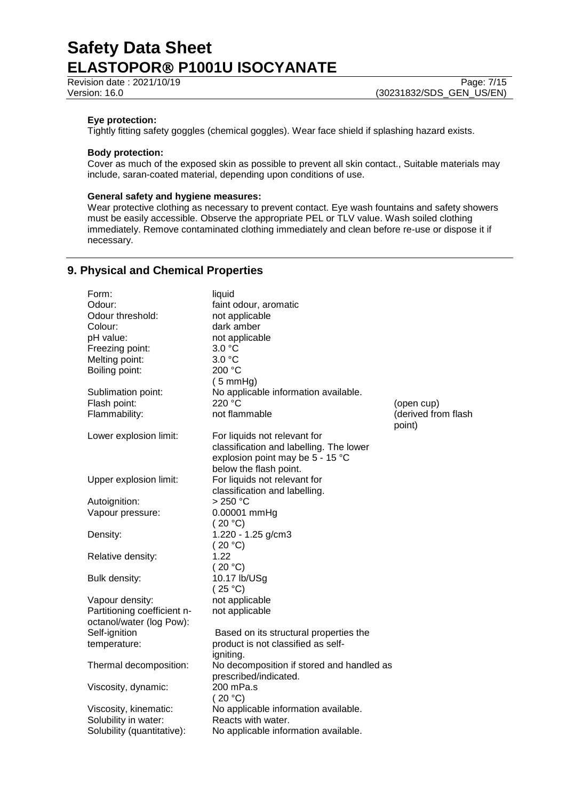## **Eye protection:**

Tightly fitting safety goggles (chemical goggles). Wear face shield if splashing hazard exists.

## **Body protection:**

Cover as much of the exposed skin as possible to prevent all skin contact., Suitable materials may include, saran-coated material, depending upon conditions of use.

## **General safety and hygiene measures:**

Wear protective clothing as necessary to prevent contact. Eye wash fountains and safety showers must be easily accessible. Observe the appropriate PEL or TLV value. Wash soiled clothing immediately. Remove contaminated clothing immediately and clean before re-use or dispose it if necessary.

# **9. Physical and Chemical Properties**

| Form:                       | liquid                                    |                     |
|-----------------------------|-------------------------------------------|---------------------|
| Odour:                      | faint odour, aromatic                     |                     |
| Odour threshold:            | not applicable                            |                     |
| Colour:                     | dark amber                                |                     |
| pH value:                   | not applicable                            |                     |
| Freezing point:             | 3.0 °C                                    |                     |
| Melting point:              | 3.0 °C                                    |                     |
| Boiling point:              | 200 °C                                    |                     |
|                             | $(5 \text{ mmHg})$                        |                     |
| Sublimation point:          | No applicable information available.      |                     |
| Flash point:                | 220 °C                                    | (open cup)          |
| Flammability:               | not flammable                             | (derived from flash |
|                             |                                           | point)              |
| Lower explosion limit:      | For liquids not relevant for              |                     |
|                             | classification and labelling. The lower   |                     |
|                             | explosion point may be 5 - 15 °C          |                     |
|                             | below the flash point.                    |                     |
| Upper explosion limit:      | For liquids not relevant for              |                     |
|                             | classification and labelling.             |                     |
| Autoignition:               | $>250$ °C                                 |                     |
| Vapour pressure:            | 0.00001 mmHg                              |                     |
|                             | (20 °C)                                   |                     |
| Density:                    | 1.220 - 1.25 g/cm3                        |                     |
|                             | (20 °C)                                   |                     |
| Relative density:           | 1.22                                      |                     |
|                             | (20 °C)                                   |                     |
| Bulk density:               | 10.17 lb/USg                              |                     |
|                             | (25 °C)                                   |                     |
| Vapour density:             | not applicable                            |                     |
| Partitioning coefficient n- | not applicable                            |                     |
| octanol/water (log Pow):    |                                           |                     |
| Self-ignition               | Based on its structural properties the    |                     |
| temperature:                | product is not classified as self-        |                     |
|                             | igniting.                                 |                     |
| Thermal decomposition:      | No decomposition if stored and handled as |                     |
|                             | prescribed/indicated.                     |                     |
| Viscosity, dynamic:         | 200 mPa.s                                 |                     |
|                             | (20 °C)                                   |                     |
| Viscosity, kinematic:       | No applicable information available.      |                     |
| Solubility in water:        | Reacts with water.                        |                     |
| Solubility (quantitative):  | No applicable information available.      |                     |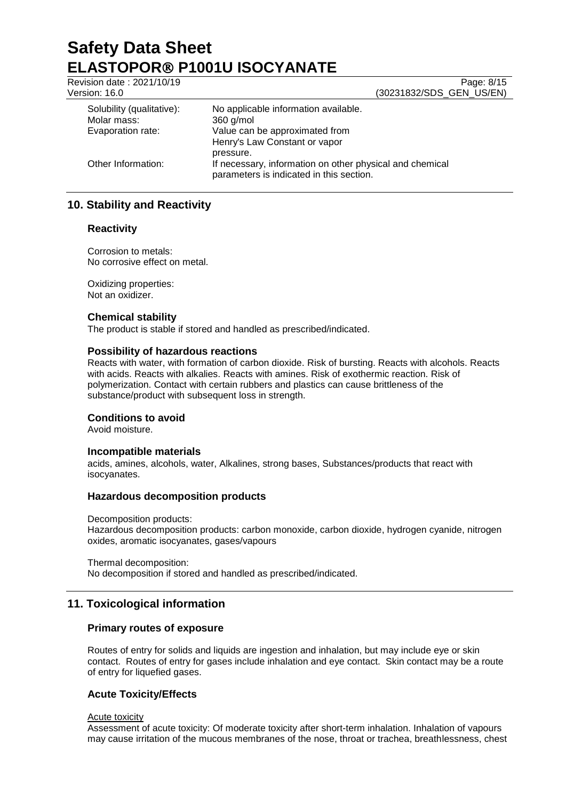| Revision date: 2021/10/19 | Page: 8/15                                                                                           |
|---------------------------|------------------------------------------------------------------------------------------------------|
| Version: 16.0             | (30231832/SDS_GEN_US/EN)                                                                             |
| Solubility (qualitative): | No applicable information available.                                                                 |
| Molar mass:               | $360$ g/mol                                                                                          |
| Evaporation rate:         | Value can be approximated from                                                                       |
|                           | Henry's Law Constant or vapor                                                                        |
|                           | pressure.                                                                                            |
| Other Information:        | If necessary, information on other physical and chemical<br>parameters is indicated in this section. |

# **10. Stability and Reactivity**

## **Reactivity**

Corrosion to metals: No corrosive effect on metal.

Oxidizing properties: Not an oxidizer.

## **Chemical stability**

The product is stable if stored and handled as prescribed/indicated.

## **Possibility of hazardous reactions**

Reacts with water, with formation of carbon dioxide. Risk of bursting. Reacts with alcohols. Reacts with acids. Reacts with alkalies. Reacts with amines. Risk of exothermic reaction. Risk of polymerization. Contact with certain rubbers and plastics can cause brittleness of the substance/product with subsequent loss in strength.

## **Conditions to avoid**

Avoid moisture.

## **Incompatible materials**

acids, amines, alcohols, water, Alkalines, strong bases, Substances/products that react with isocyanates.

## **Hazardous decomposition products**

Decomposition products:

Hazardous decomposition products: carbon monoxide, carbon dioxide, hydrogen cyanide, nitrogen oxides, aromatic isocyanates, gases/vapours

Thermal decomposition:

No decomposition if stored and handled as prescribed/indicated.

# **11. Toxicological information**

# **Primary routes of exposure**

Routes of entry for solids and liquids are ingestion and inhalation, but may include eye or skin contact. Routes of entry for gases include inhalation and eye contact. Skin contact may be a route of entry for liquefied gases.

# **Acute Toxicity/Effects**

Acute toxicity

Assessment of acute toxicity: Of moderate toxicity after short-term inhalation. Inhalation of vapours may cause irritation of the mucous membranes of the nose, throat or trachea, breathlessness, chest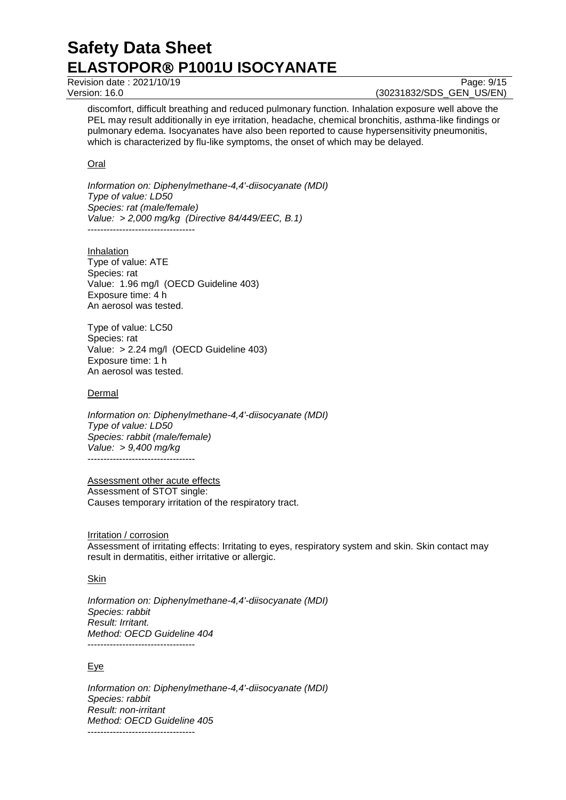Revision date : 2021/10/19 Page: 9/15

Version: 16.0 (30231832/SDS\_GEN\_US/EN)

discomfort, difficult breathing and reduced pulmonary function. Inhalation exposure well above the PEL may result additionally in eye irritation, headache, chemical bronchitis, asthma-like findings or pulmonary edema. Isocyanates have also been reported to cause hypersensitivity pneumonitis, which is characterized by flu-like symptoms, the onset of which may be delayed.

## Oral

*Information on: Diphenylmethane-4,4'-diisocyanate (MDI) Type of value: LD50 Species: rat (male/female) Value: > 2,000 mg/kg (Directive 84/449/EEC, B.1)* ----------------------------------

Inhalation Type of value: ATE Species: rat Value: 1.96 mg/l (OECD Guideline 403) Exposure time: 4 h An aerosol was tested.

Type of value: LC50 Species: rat Value: > 2.24 mg/l (OECD Guideline 403) Exposure time: 1 h An aerosol was tested.

**Dermal** 

*Information on: Diphenylmethane-4,4'-diisocyanate (MDI) Type of value: LD50 Species: rabbit (male/female) Value: > 9,400 mg/kg*  ----------------------------------

Assessment other acute effects Assessment of STOT single: Causes temporary irritation of the respiratory tract.

Irritation / corrosion Assessment of irritating effects: Irritating to eyes, respiratory system and skin. Skin contact may result in dermatitis, either irritative or allergic.

## Skin

*Information on: Diphenylmethane-4,4'-diisocyanate (MDI) Species: rabbit Result: Irritant. Method: OECD Guideline 404* ----------------------------------

## Eye

*Information on: Diphenylmethane-4,4'-diisocyanate (MDI) Species: rabbit Result: non-irritant Method: OECD Guideline 405* ----------------------------------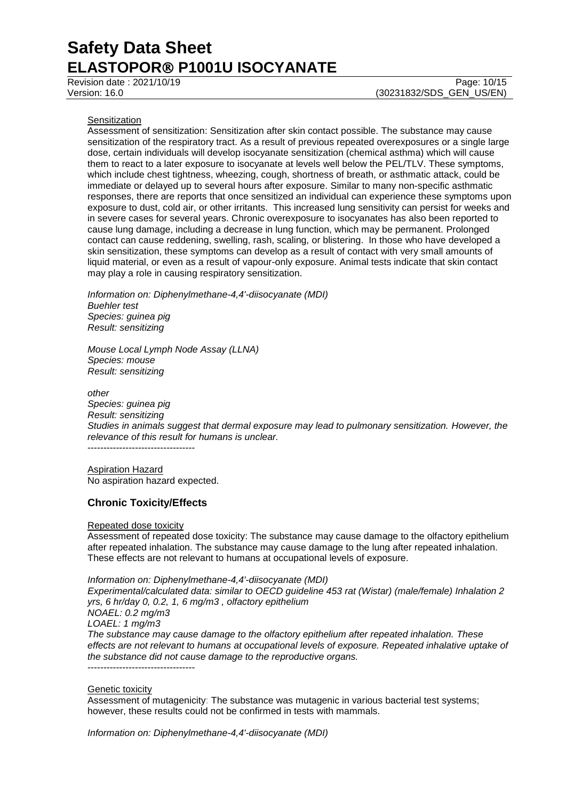Revision date : 2021/10/19 Page: 10/15 Version: 16.0 (30231832/SDS\_GEN\_US/EN)

#### **Sensitization**

Assessment of sensitization: Sensitization after skin contact possible. The substance may cause sensitization of the respiratory tract. As a result of previous repeated overexposures or a single large dose, certain individuals will develop isocyanate sensitization (chemical asthma) which will cause them to react to a later exposure to isocyanate at levels well below the PEL/TLV. These symptoms, which include chest tightness, wheezing, cough, shortness of breath, or asthmatic attack, could be immediate or delayed up to several hours after exposure. Similar to many non-specific asthmatic responses, there are reports that once sensitized an individual can experience these symptoms upon exposure to dust, cold air, or other irritants. This increased lung sensitivity can persist for weeks and in severe cases for several years. Chronic overexposure to isocyanates has also been reported to cause lung damage, including a decrease in lung function, which may be permanent. Prolonged contact can cause reddening, swelling, rash, scaling, or blistering. In those who have developed a skin sensitization, these symptoms can develop as a result of contact with very small amounts of liquid material, or even as a result of vapour-only exposure. Animal tests indicate that skin contact may play a role in causing respiratory sensitization.

*Information on: Diphenylmethane-4,4'-diisocyanate (MDI) Buehler test Species: guinea pig Result: sensitizing*

*Mouse Local Lymph Node Assay (LLNA) Species: mouse Result: sensitizing*

*other Species: guinea pig Result: sensitizing Studies in animals suggest that dermal exposure may lead to pulmonary sensitization. However, the relevance of this result for humans is unclear.* ----------------------------------

Aspiration Hazard No aspiration hazard expected.

# **Chronic Toxicity/Effects**

#### Repeated dose toxicity

Assessment of repeated dose toxicity: The substance may cause damage to the olfactory epithelium after repeated inhalation. The substance may cause damage to the lung after repeated inhalation. These effects are not relevant to humans at occupational levels of exposure.

*Information on: Diphenylmethane-4,4'-diisocyanate (MDI) Experimental/calculated data: similar to OECD guideline 453 rat (Wistar) (male/female) Inhalation 2 yrs, 6 hr/day 0, 0.2, 1, 6 mg/m3 , olfactory epithelium NOAEL: 0.2 mg/m3 LOAEL: 1 mg/m3 The substance may cause damage to the olfactory epithelium after repeated inhalation. These effects are not relevant to humans at occupational levels of exposure. Repeated inhalative uptake of the substance did not cause damage to the reproductive organs.* ----------------------------------

#### Genetic toxicity

Assessment of mutagenicity: The substance was mutagenic in various bacterial test systems; however, these results could not be confirmed in tests with mammals.

*Information on: Diphenylmethane-4,4'-diisocyanate (MDI)*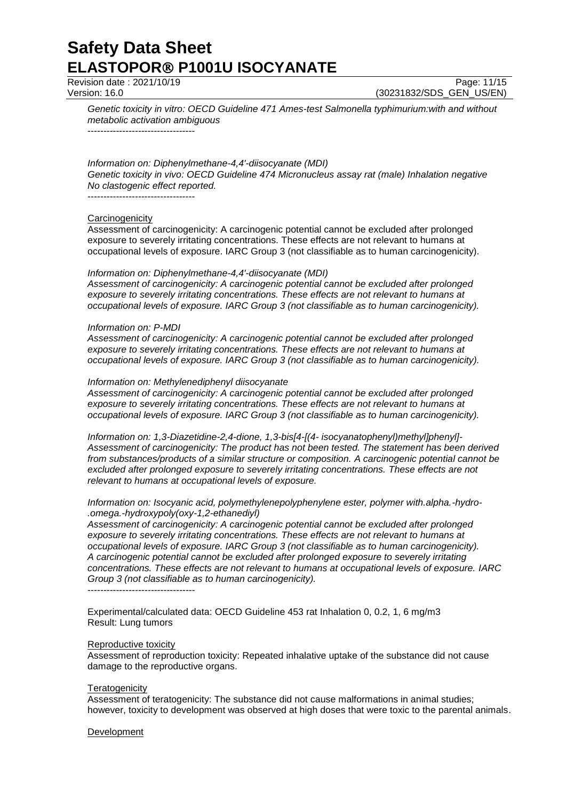Revision date : 2021/10/19

Version: 16.0 (30231832/SDS\_GEN\_US/EN)

*Genetic toxicity in vitro: OECD Guideline 471 Ames-test Salmonella typhimurium:with and without metabolic activation ambiguous*

----------------------------------

## *Information on: Diphenylmethane-4,4'-diisocyanate (MDI)*

*Genetic toxicity in vivo: OECD Guideline 474 Micronucleus assay rat (male) Inhalation negative No clastogenic effect reported.*

----------------------------------

## **Carcinogenicity**

Assessment of carcinogenicity: A carcinogenic potential cannot be excluded after prolonged exposure to severely irritating concentrations. These effects are not relevant to humans at occupational levels of exposure. IARC Group 3 (not classifiable as to human carcinogenicity).

#### *Information on: Diphenylmethane-4,4'-diisocyanate (MDI)*

*Assessment of carcinogenicity: A carcinogenic potential cannot be excluded after prolonged exposure to severely irritating concentrations. These effects are not relevant to humans at occupational levels of exposure. IARC Group 3 (not classifiable as to human carcinogenicity).*

#### *Information on: P-MDI*

*Assessment of carcinogenicity: A carcinogenic potential cannot be excluded after prolonged exposure to severely irritating concentrations. These effects are not relevant to humans at occupational levels of exposure. IARC Group 3 (not classifiable as to human carcinogenicity).*

#### *Information on: Methylenediphenyl diisocyanate*

*Assessment of carcinogenicity: A carcinogenic potential cannot be excluded after prolonged exposure to severely irritating concentrations. These effects are not relevant to humans at occupational levels of exposure. IARC Group 3 (not classifiable as to human carcinogenicity).*

*Information on: 1,3-Diazetidine-2,4-dione, 1,3-bis[4-[(4- isocyanatophenyl)methyl]phenyl]- Assessment of carcinogenicity: The product has not been tested. The statement has been derived from substances/products of a similar structure or composition. A carcinogenic potential cannot be excluded after prolonged exposure to severely irritating concentrations. These effects are not relevant to humans at occupational levels of exposure.*

*Information on: Isocyanic acid, polymethylenepolyphenylene ester, polymer with.alpha.-hydro- .omega.-hydroxypoly(oxy-1,2-ethanediyl)*

*Assessment of carcinogenicity: A carcinogenic potential cannot be excluded after prolonged exposure to severely irritating concentrations. These effects are not relevant to humans at occupational levels of exposure. IARC Group 3 (not classifiable as to human carcinogenicity). A carcinogenic potential cannot be excluded after prolonged exposure to severely irritating concentrations. These effects are not relevant to humans at occupational levels of exposure. IARC Group 3 (not classifiable as to human carcinogenicity).* ----------------------------------

Experimental/calculated data: OECD Guideline 453 rat Inhalation 0, 0.2, 1, 6 mg/m3 Result: Lung tumors

#### Reproductive toxicity

Assessment of reproduction toxicity: Repeated inhalative uptake of the substance did not cause damage to the reproductive organs.

#### **Teratogenicity**

Assessment of teratogenicity: The substance did not cause malformations in animal studies; however, toxicity to development was observed at high doses that were toxic to the parental animals.

## **Development**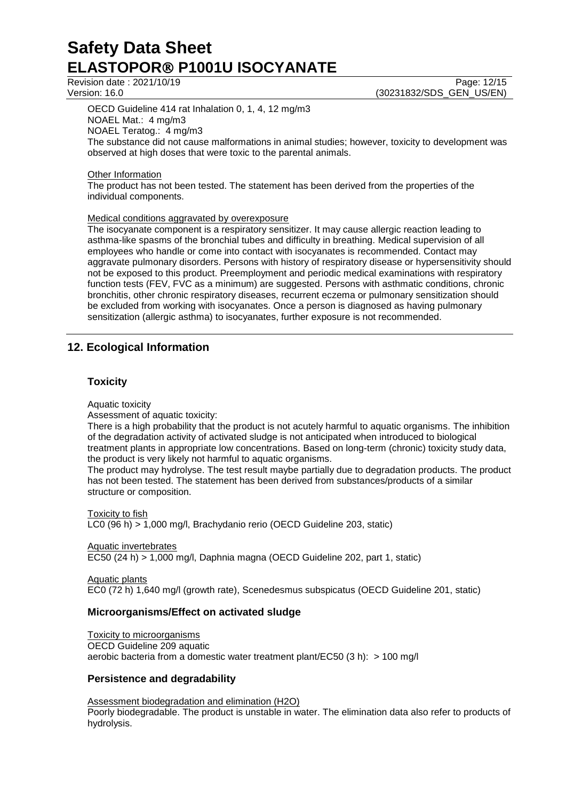OECD Guideline 414 rat Inhalation 0, 1, 4, 12 mg/m3 NOAEL Mat.: 4 mg/m3 NOAEL Teratog.: 4 mg/m3 The substance did not cause malformations in animal studies; however, toxicity to development was observed at high doses that were toxic to the parental animals.

## **Other Information**

The product has not been tested. The statement has been derived from the properties of the individual components.

## Medical conditions aggravated by overexposure

The isocyanate component is a respiratory sensitizer. It may cause allergic reaction leading to asthma-like spasms of the bronchial tubes and difficulty in breathing. Medical supervision of all employees who handle or come into contact with isocyanates is recommended. Contact may aggravate pulmonary disorders. Persons with history of respiratory disease or hypersensitivity should not be exposed to this product. Preemployment and periodic medical examinations with respiratory function tests (FEV, FVC as a minimum) are suggested. Persons with asthmatic conditions, chronic bronchitis, other chronic respiratory diseases, recurrent eczema or pulmonary sensitization should be excluded from working with isocyanates. Once a person is diagnosed as having pulmonary sensitization (allergic asthma) to isocyanates, further exposure is not recommended.

# **12. Ecological Information**

# **Toxicity**

Aquatic toxicity

Assessment of aquatic toxicity:

There is a high probability that the product is not acutely harmful to aquatic organisms. The inhibition of the degradation activity of activated sludge is not anticipated when introduced to biological treatment plants in appropriate low concentrations. Based on long-term (chronic) toxicity study data, the product is very likely not harmful to aquatic organisms.

The product may hydrolyse. The test result maybe partially due to degradation products. The product has not been tested. The statement has been derived from substances/products of a similar structure or composition.

**Toxicity to fish** LC0 (96 h) > 1,000 mg/l, Brachydanio rerio (OECD Guideline 203, static)

Aquatic invertebrates EC50 (24 h) > 1,000 mg/l, Daphnia magna (OECD Guideline 202, part 1, static)

Aquatic plants EC0 (72 h) 1,640 mg/l (growth rate), Scenedesmus subspicatus (OECD Guideline 201, static)

# **Microorganisms/Effect on activated sludge**

Toxicity to microorganisms

OECD Guideline 209 aquatic aerobic bacteria from a domestic water treatment plant/EC50 (3 h): > 100 mg/l

# **Persistence and degradability**

Assessment biodegradation and elimination (H2O) Poorly biodegradable. The product is unstable in water. The elimination data also refer to products of hydrolysis.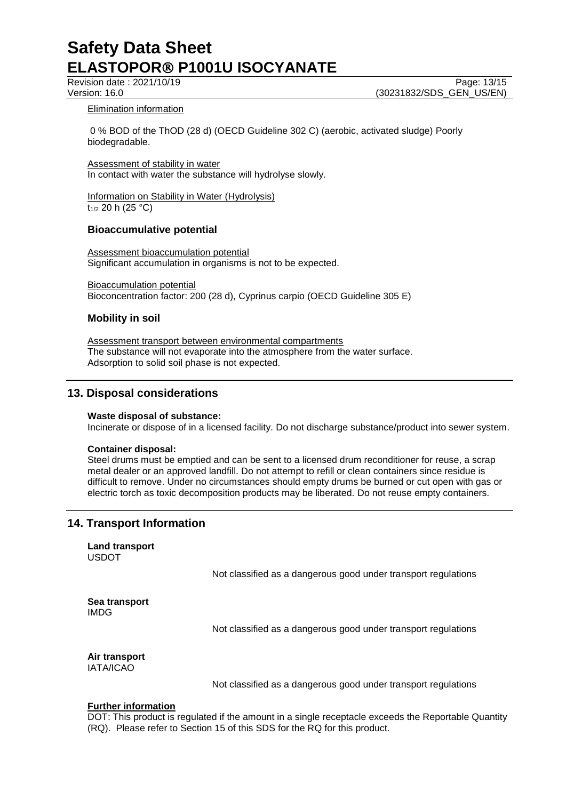Revision date : 2021/10/19 Page: 13/15

Version: 16.0 (30231832/SDS\_GEN\_US/EN)

## Elimination information

0 % BOD of the ThOD (28 d) (OECD Guideline 302 C) (aerobic, activated sludge) Poorly biodegradable.

Assessment of stability in water In contact with water the substance will hydrolyse slowly.

Information on Stability in Water (Hydrolysis) t<sub>1/2</sub> 20 h (25 °C)

# **Bioaccumulative potential**

Assessment bioaccumulation potential Significant accumulation in organisms is not to be expected.

Bioaccumulation potential Bioconcentration factor: 200 (28 d), Cyprinus carpio (OECD Guideline 305 E)

# **Mobility in soil**

Assessment transport between environmental compartments The substance will not evaporate into the atmosphere from the water surface. Adsorption to solid soil phase is not expected.

# **13. Disposal considerations**

## **Waste disposal of substance:**

Incinerate or dispose of in a licensed facility. Do not discharge substance/product into sewer system.

## **Container disposal:**

Steel drums must be emptied and can be sent to a licensed drum reconditioner for reuse, a scrap metal dealer or an approved landfill. Do not attempt to refill or clean containers since residue is difficult to remove. Under no circumstances should empty drums be burned or cut open with gas or electric torch as toxic decomposition products may be liberated. Do not reuse empty containers.

# **14. Transport Information**

**Land transport** USDOT

Not classified as a dangerous good under transport regulations

**Sea transport** IMDG

Not classified as a dangerous good under transport regulations

**Air transport** IATA/ICAO

Not classified as a dangerous good under transport regulations

## **Further information**

DOT: This product is regulated if the amount in a single receptacle exceeds the Reportable Quantity (RQ). Please refer to Section 15 of this SDS for the RQ for this product.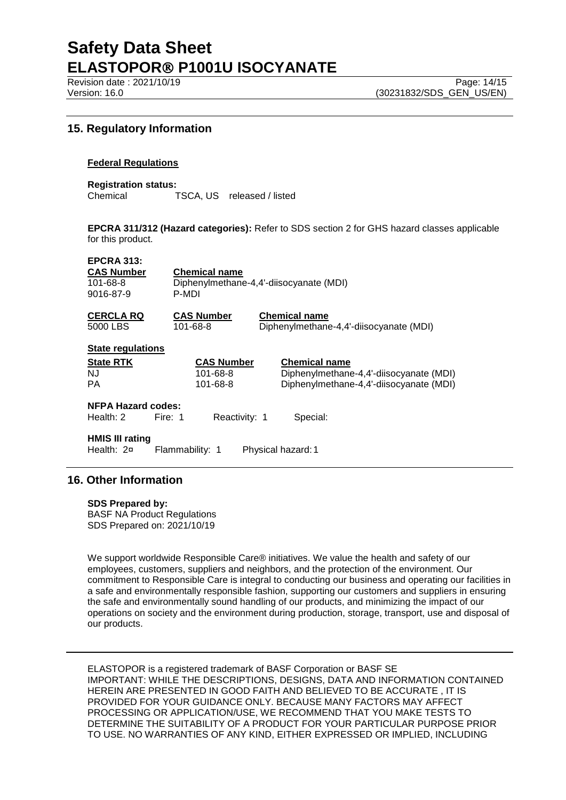Revision date : 2021/10/19 Page: 14/15

# **15. Regulatory Information**

#### **Federal Regulations**

**Registration status:** TSCA, US released / listed

**EPCRA 311/312 (Hazard categories):** Refer to SDS section 2 for GHS hazard classes applicable for this product.

#### **EPCRA 313:**

| <b>CAS Number</b> | <b>Chemical name</b>                    |
|-------------------|-----------------------------------------|
| 101-68-8          | Diphenylmethane-4.4'-diisocyanate (MDI) |
| 9016-87-9         | P-MDI                                   |

**CERCLA RQ CAS Number Chemical name** Diphenylmethane-4,4'-diisocyanate (MDI)

| <b>State regulations</b>                              |         |                   |                                         |
|-------------------------------------------------------|---------|-------------------|-----------------------------------------|
| <b>State RTK</b>                                      |         | <b>CAS Number</b> | <b>Chemical name</b>                    |
| NJ                                                    |         | 101-68-8          | Diphenylmethane-4,4'-diisocyanate (MDI) |
| РA                                                    |         | 101-68-8          | Diphenylmethane-4,4'-diisocyanate (MDI) |
| <b>NFPA Hazard codes:</b><br>Health: $2 \overline{ }$ | Fire: 1 | Reactivity: 1     | Special:                                |

**HMIS III rating** Health: 2¤ Flammability: 1 Physical hazard: 1

## **16. Other Information**

**SDS Prepared by:** 

BASF NA Product Regulations SDS Prepared on: 2021/10/19

We support worldwide Responsible Care® initiatives. We value the health and safety of our employees, customers, suppliers and neighbors, and the protection of the environment. Our commitment to Responsible Care is integral to conducting our business and operating our facilities in a safe and environmentally responsible fashion, supporting our customers and suppliers in ensuring the safe and environmentally sound handling of our products, and minimizing the impact of our operations on society and the environment during production, storage, transport, use and disposal of our products.

ELASTOPOR is a registered trademark of BASF Corporation or BASF SE IMPORTANT: WHILE THE DESCRIPTIONS, DESIGNS, DATA AND INFORMATION CONTAINED HEREIN ARE PRESENTED IN GOOD FAITH AND BELIEVED TO BE ACCURATE , IT IS PROVIDED FOR YOUR GUIDANCE ONLY. BECAUSE MANY FACTORS MAY AFFECT PROCESSING OR APPLICATION/USE, WE RECOMMEND THAT YOU MAKE TESTS TO DETERMINE THE SUITABILITY OF A PRODUCT FOR YOUR PARTICULAR PURPOSE PRIOR TO USE. NO WARRANTIES OF ANY KIND, EITHER EXPRESSED OR IMPLIED, INCLUDING